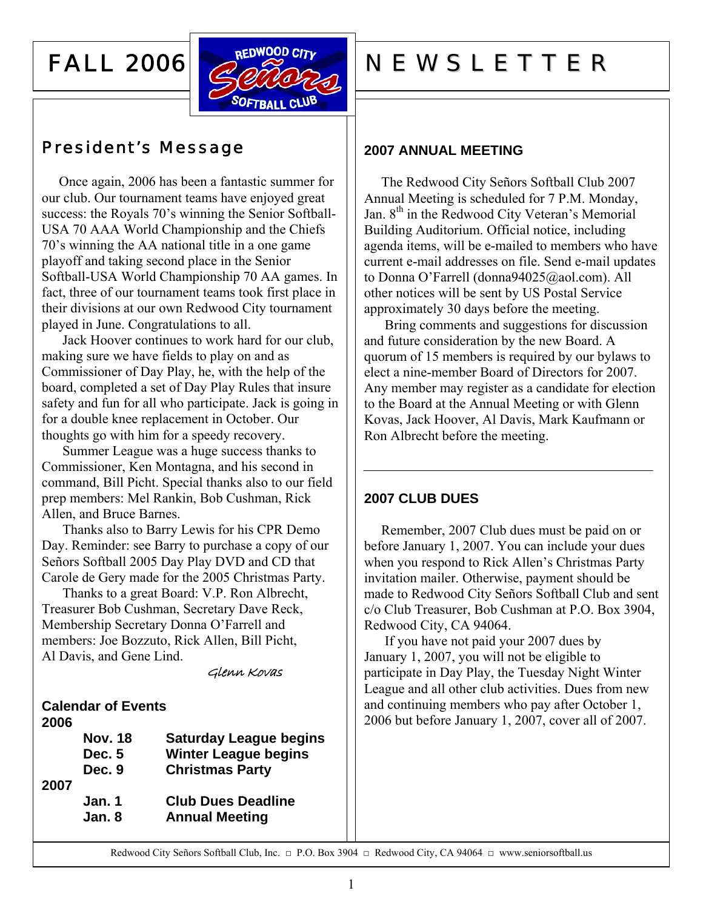## FALL 2006



## President's Message

 Once again, 2006 has been a fantastic summer for our club. Our tournament teams have enjoyed great success: the Royals 70's winning the Senior Softball-USA 70 AAA World Championship and the Chiefs 70's winning the AA national title in a one game playoff and taking second place in the Senior Softball-USA World Championship 70 AA games. In fact, three of our tournament teams took first place in their divisions at our own Redwood City tournament played in June. Congratulations to all.

Jack Hoover continues to work hard for our club, making sure we have fields to play on and as Commissioner of Day Play, he, with the help of the board, completed a set of Day Play Rules that insure safety and fun for all who participate. Jack is going in for a double knee replacement in October. Our thoughts go with him for a speedy recovery.

Summer League was a huge success thanks to Commissioner, Ken Montagna, and his second in command, Bill Picht. Special thanks also to our field prep members: Mel Rankin, Bob Cushman, Rick Allen, and Bruce Barnes.

Thanks also to Barry Lewis for his CPR Demo Day. Reminder: see Barry to purchase a copy of our Señors Softball 2005 Day Play DVD and CD that Carole de Gery made for the 2005 Christmas Party.

Thanks to a great Board: V.P. Ron Albrecht, Treasurer Bob Cushman, Secretary Dave Reck, Membership Secretary Donna O'Farrell and members: Joe Bozzuto, Rick Allen, Bill Picht, Al Davis, and Gene Lind.

Glenn Kovas

**Calendar of Events 2006** 

|      | <b>Nov. 18</b> | <b>Saturday League begins</b> |
|------|----------------|-------------------------------|
|      | Dec. 5         | <b>Winter League begins</b>   |
|      | Dec. 9         | <b>Christmas Party</b>        |
| 2007 |                |                               |
|      | Jan. 1         | <b>Club Dues Deadline</b>     |
|      | Jan. 8         | <b>Annual Meeting</b>         |
|      |                |                               |

# REDWOOD CITY NEWSLETTER

#### **2007 ANNUAL MEETING**

 The Redwood City Señors Softball Club 2007 Annual Meeting is scheduled for 7 P.M. Monday, Jan. 8<sup>th</sup> in the Redwood City Veteran's Memorial Building Auditorium. Official notice, including agenda items, will be e-mailed to members who have current e-mail addresses on file. Send e-mail updates to Donna O'Farrell (donna94025@aol.com). All other notices will be sent by US Postal Service approximately 30 days before the meeting.

Bring comments and suggestions for discussion and future consideration by the new Board. A quorum of 15 members is required by our bylaws to elect a nine-member Board of Directors for 2007. Any member may register as a candidate for election to the Board at the Annual Meeting or with Glenn Kovas, Jack Hoover, Al Davis, Mark Kaufmann or Ron Albrecht before the meeting.

#### **2007 CLUB DUES**

Remember, 2007 Club dues must be paid on or before January 1, 2007. You can include your dues when you respond to Rick Allen's Christmas Party invitation mailer. Otherwise, payment should be made to Redwood City Señors Softball Club and sent c/o Club Treasurer, Bob Cushman at P.O. Box 3904, Redwood City, CA 94064.

If you have not paid your 2007 dues by January 1, 2007, you will not be eligible to participate in Day Play, the Tuesday Night Winter League and all other club activities. Dues from new and continuing members who pay after October 1, 2006 but before January 1, 2007, cover all of 2007.

Redwood City Señors Softball Club, Inc. □ P.O. Box 3904 □ Redwood City, CA 94064 □ www.seniorsoftball.us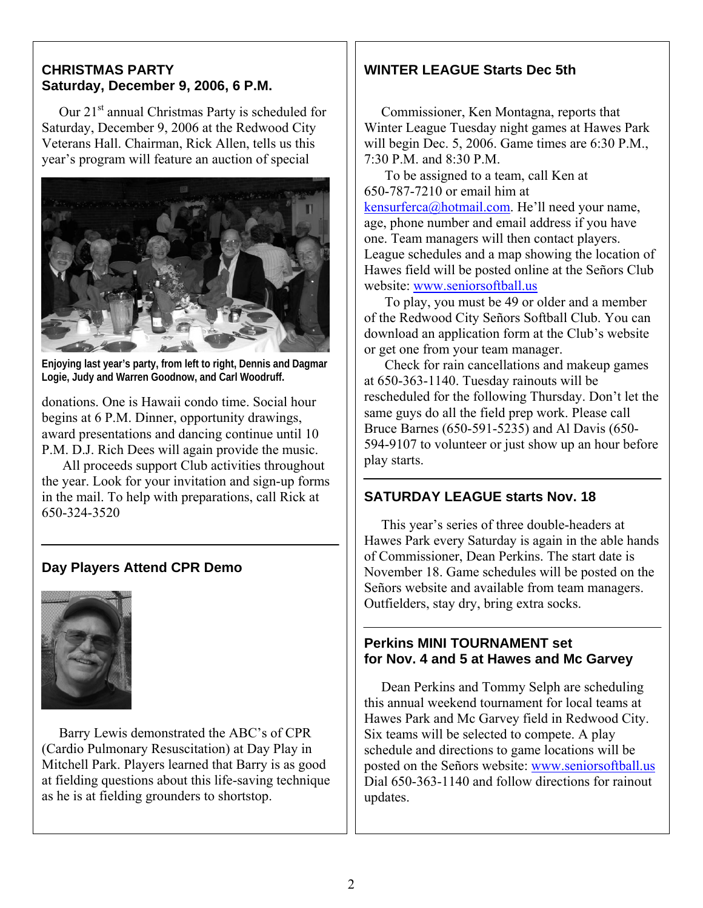#### **CHRISTMAS PARTY Saturday, December 9, 2006, 6 P.M.**

Our 21<sup>st</sup> annual Christmas Party is scheduled for Saturday, December 9, 2006 at the Redwood City Veterans Hall. Chairman, Rick Allen, tells us this year's program will feature an auction of special



**Enjoying last year's party, from left to right, Dennis and Dagmar Logie, Judy and Warren Goodnow, and Carl Woodruff.** 

donations. One is Hawaii condo time. Social hour begins at 6 P.M. Dinner, opportunity drawings, award presentations and dancing continue until 10 P.M. D.J. Rich Dees will again provide the music.

All proceeds support Club activities throughout the year. Look for your invitation and sign-up forms in the mail. To help with preparations, call Rick at 650-324-3520

#### **Day Players Attend CPR Demo**



 Barry Lewis demonstrated the ABC's of CPR (Cardio Pulmonary Resuscitation) at Day Play in Mitchell Park. Players learned that Barry is as good at fielding questions about this life-saving technique as he is at fielding grounders to shortstop.

#### **WINTER LEAGUE Starts Dec 5th**

 Commissioner, Ken Montagna, reports that Winter League Tuesday night games at Hawes Park will begin Dec. 5, 2006. Game times are 6:30 P.M., 7:30 P.M. and 8:30 P.M.

To be assigned to a team, call Ken at 650-787-7210 or email him at [kensurferca@hotmail.com.](mailto:kensurferca@hotmail.com) He'll need your name, age, phone number and email address if you have one. Team managers will then contact players. League schedules and a map showing the location of Hawes field will be posted online at the Señors Club website: [www.seniorsoftball.us](http://www.seniorsoftball.us/)

To play, you must be 49 or older and a member of the Redwood City Señors Softball Club. You can download an application form at the Club's website or get one from your team manager.

Check for rain cancellations and makeup games at 650-363-1140. Tuesday rainouts will be rescheduled for the following Thursday. Don't let the same guys do all the field prep work. Please call Bruce Barnes (650-591-5235) and Al Davis (650- 594-9107 to volunteer or just show up an hour before play starts.

#### **SATURDAY LEAGUE starts Nov. 18**

 This year's series of three double-headers at Hawes Park every Saturday is again in the able hands of Commissioner, Dean Perkins. The start date is November 18. Game schedules will be posted on the Señors website and available from team managers. Outfielders, stay dry, bring extra socks.

#### **Perkins MINI TOURNAMENT set for Nov. 4 and 5 at Hawes and Mc Garvey**

 Dean Perkins and Tommy Selph are scheduling this annual weekend tournament for local teams at Hawes Park and Mc Garvey field in Redwood City. Six teams will be selected to compete. A play schedule and directions to game locations will be posted on the Señors website: [www.seniorsoftball.us](http://www.seniorsoftball.us/) Dial 650-363-1140 and follow directions for rainout updates.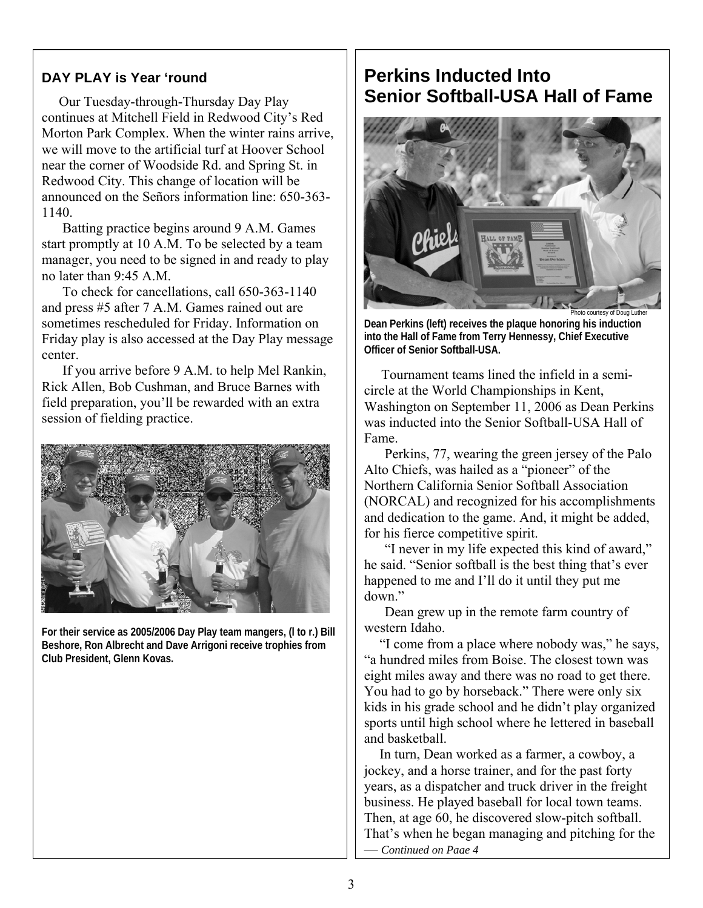#### **DAY PLAY is Year 'round**

 Our Tuesday-through-Thursday Day Play continues at Mitchell Field in Redwood City's Red Morton Park Complex. When the winter rains arrive, we will move to the artificial turf at Hoover School near the corner of Woodside Rd. and Spring St. in Redwood City. This change of location will be announced on the Señors information line: 650-363- 1140.

Batting practice begins around 9 A.M. Games start promptly at 10 A.M. To be selected by a team manager, you need to be signed in and ready to play no later than 9:45 A.M.

To check for cancellations, call 650-363-1140 and press #5 after 7 A.M. Games rained out are sometimes rescheduled for Friday. Information on Friday play is also accessed at the Day Play message center.

If you arrive before 9 A.M. to help Mel Rankin, Rick Allen, Bob Cushman, and Bruce Barnes with field preparation, you'll be rewarded with an extra session of fielding practice.



**For their service as 2005/2006 Day Play team mangers, (l to r.) Bill Beshore, Ron Albrecht and Dave Arrigoni receive trophies from Club President, Glenn Kovas.** 

### **Perkins Inducted Into Senior Softball-USA Hall of Fame**



**Dean Perkins (left) receives the plaque honoring his induction into the Hall of Fame from Terry Hennessy, Chief Executive Officer of Senior Softball-USA.** 

 Tournament teams lined the infield in a semicircle at the World Championships in Kent, Washington on September 11, 2006 as Dean Perkins was inducted into the Senior Softball-USA Hall of Fame.

Perkins, 77, wearing the green jersey of the Palo Alto Chiefs, was hailed as a "pioneer" of the Northern California Senior Softball Association (NORCAL) and recognized for his accomplishments and dedication to the game. And, it might be added, for his fierce competitive spirit.

"I never in my life expected this kind of award," he said. "Senior softball is the best thing that's ever happened to me and I'll do it until they put me down."

Dean grew up in the remote farm country of western Idaho.

"I come from a place where nobody was," he says, "a hundred miles from Boise. The closest town was eight miles away and there was no road to get there. You had to go by horseback." There were only six kids in his grade school and he didn't play organized sports until high school where he lettered in baseball and basketball.

In turn, Dean worked as a farmer, a cowboy, a jockey, and a horse trainer, and for the past forty years, as a dispatcher and truck driver in the freight business. He played baseball for local town teams. Then, at age 60, he discovered slow-pitch softball. That's when he began managing and pitching for the — *Continued on Page 4*